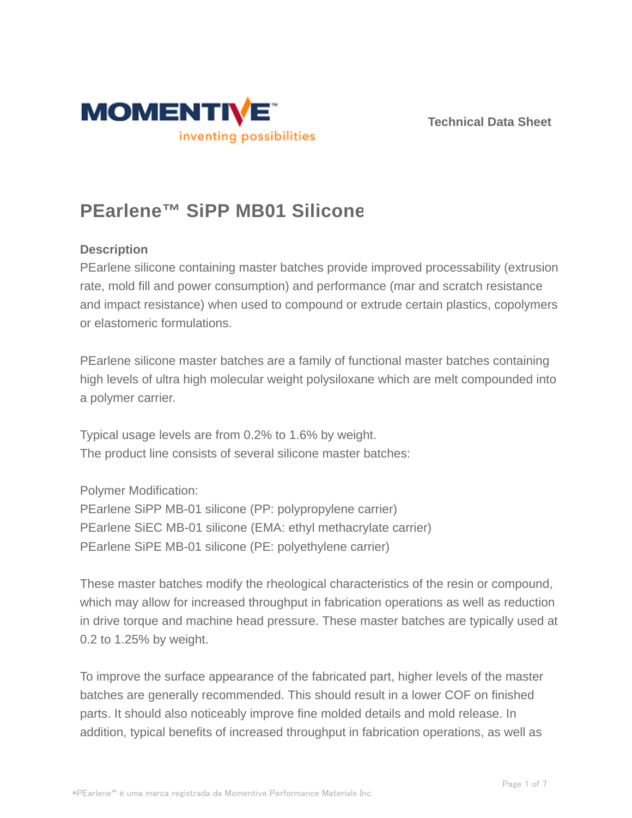



# **PEarlene™ SiPP MB01 Silicone**

# **Description**

PEarlene silicone containing master batches provide improved processability (extrusion rate, mold fill and power consumption) and performance (mar and scratch resistance and impact resistance) when used to compound or extrude certain plastics, copolymers or elastomeric formulations.

PEarlene silicone master batches are a family of functional master batches containing high levels of ultra high molecular weight polysiloxane which are melt compounded into a polymer carrier.

Typical usage levels are from 0.2% to 1.6% by weight. The product line consists of several silicone master batches:

Polymer Modification:

PEarlene SiPP MB-01 silicone (PP: polypropylene carrier) PEarlene SiEC MB-01 silicone (EMA: ethyl methacrylate carrier) PEarlene SiPE MB-01 silicone (PE: polyethylene carrier)

These master batches modify the rheological characteristics of the resin or compound, which may allow for increased throughput in fabrication operations as well as reduction in drive torque and machine head pressure. These master batches are typically used at 0.2 to 1.25% by weight.

To improve the surface appearance of the fabricated part, higher levels of the master batches are generally recommended. This should result in a lower COF on finished parts. It should also noticeably improve fine molded details and mold release. In addition, typical benefits of increased throughput in fabrication operations, as well as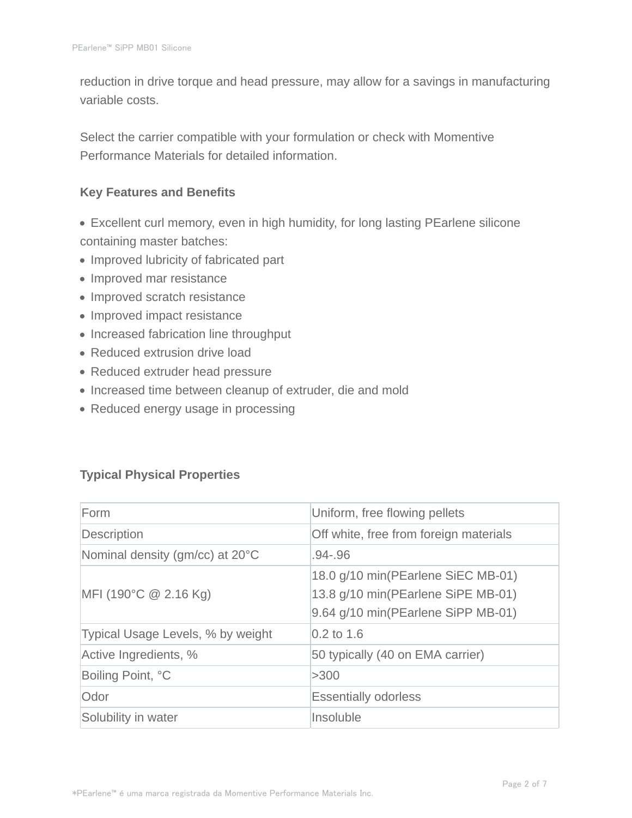reduction in drive torque and head pressure, may allow for a savings in manufacturing variable costs.

Select the carrier compatible with your formulation or check with Momentive Performance Materials for detailed information.

#### **Key Features and Benefits**

- Excellent curl memory, even in high humidity, for long lasting PEarlene silicone containing master batches:
- Improved lubricity of fabricated part
- Improved mar resistance
- Improved scratch resistance
- Improved impact resistance
- Increased fabrication line throughput
- Reduced extrusion drive load
- Reduced extruder head pressure
- Increased time between cleanup of extruder, die and mold
- Reduced energy usage in processing

# **Typical Physical Properties**

| Form                              | Uniform, free flowing pellets                                                                                  |  |  |
|-----------------------------------|----------------------------------------------------------------------------------------------------------------|--|--|
| Description                       | Off white, free from foreign materials                                                                         |  |  |
| Nominal density (gm/cc) at 20°C   | .94-.96                                                                                                        |  |  |
| MFI (190°C @ 2.16 Kg)             | 18.0 g/10 min(PEarlene SiEC MB-01)<br>13.8 g/10 min(PEarlene SiPE MB-01)<br>9.64 g/10 min(PEarlene SiPP MB-01) |  |  |
| Typical Usage Levels, % by weight | $0.2$ to 1.6                                                                                                   |  |  |
| Active Ingredients, %             | 50 typically (40 on EMA carrier)                                                                               |  |  |
| Boiling Point, °C                 | >300                                                                                                           |  |  |
| Odor                              | <b>Essentially odorless</b>                                                                                    |  |  |
| Solubility in water               | Insoluble                                                                                                      |  |  |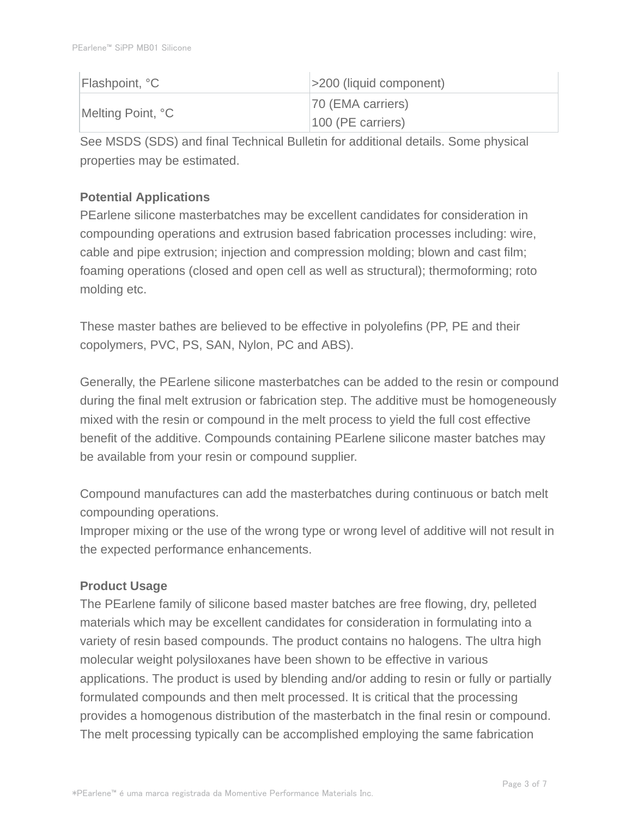| Flashpoint, °C    | $ $ >200 (liquid component) |
|-------------------|-----------------------------|
| Melting Point, °C | 70 (EMA carriers)           |
|                   | $100$ (PE carriers)         |

See MSDS (SDS) and final Technical Bulletin for additional details. Some physical properties may be estimated.

# **Potential Applications**

PEarlene silicone masterbatches may be excellent candidates for consideration in compounding operations and extrusion based fabrication processes including: wire, cable and pipe extrusion; injection and compression molding; blown and cast film; foaming operations (closed and open cell as well as structural); thermoforming; roto molding etc.

These master bathes are believed to be effective in polyolefins (PP, PE and their copolymers, PVC, PS, SAN, Nylon, PC and ABS).

Generally, the PEarlene silicone masterbatches can be added to the resin or compound during the final melt extrusion or fabrication step. The additive must be homogeneously mixed with the resin or compound in the melt process to yield the full cost effective benefit of the additive. Compounds containing PEarlene silicone master batches may be available from your resin or compound supplier.

Compound manufactures can add the masterbatches during continuous or batch melt compounding operations.

Improper mixing or the use of the wrong type or wrong level of additive will not result in the expected performance enhancements.

# **Product Usage**

The PEarlene family of silicone based master batches are free flowing, dry, pelleted materials which may be excellent candidates for consideration in formulating into a variety of resin based compounds. The product contains no halogens. The ultra high molecular weight polysiloxanes have been shown to be effective in various applications. The product is used by blending and/or adding to resin or fully or partially formulated compounds and then melt processed. It is critical that the processing provides a homogenous distribution of the masterbatch in the final resin or compound. The melt processing typically can be accomplished employing the same fabrication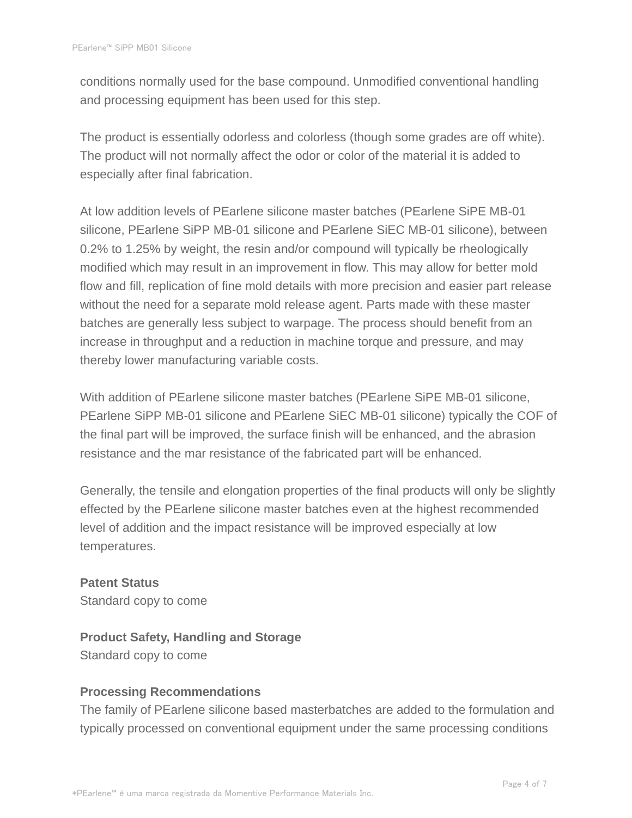conditions normally used for the base compound. Unmodified conventional handling and processing equipment has been used for this step.

The product is essentially odorless and colorless (though some grades are off white). The product will not normally affect the odor or color of the material it is added to especially after final fabrication.

At low addition levels of PEarlene silicone master batches (PEarlene SiPE MB-01 silicone, PEarlene SiPP MB-01 silicone and PEarlene SiEC MB-01 silicone), between 0.2% to 1.25% by weight, the resin and/or compound will typically be rheologically modified which may result in an improvement in flow. This may allow for better mold flow and fill, replication of fine mold details with more precision and easier part release without the need for a separate mold release agent. Parts made with these master batches are generally less subject to warpage. The process should benefit from an increase in throughput and a reduction in machine torque and pressure, and may thereby lower manufacturing variable costs.

With addition of PEarlene silicone master batches (PEarlene SiPE MB-01 silicone, PEarlene SiPP MB-01 silicone and PEarlene SiEC MB-01 silicone) typically the COF of the final part will be improved, the surface finish will be enhanced, and the abrasion resistance and the mar resistance of the fabricated part will be enhanced.

Generally, the tensile and elongation properties of the final products will only be slightly effected by the PEarlene silicone master batches even at the highest recommended level of addition and the impact resistance will be improved especially at low temperatures.

**Patent Status** Standard copy to come

**Product Safety, Handling and Storage** Standard copy to come

# **Processing Recommendations**

The family of PEarlene silicone based masterbatches are added to the formulation and typically processed on conventional equipment under the same processing conditions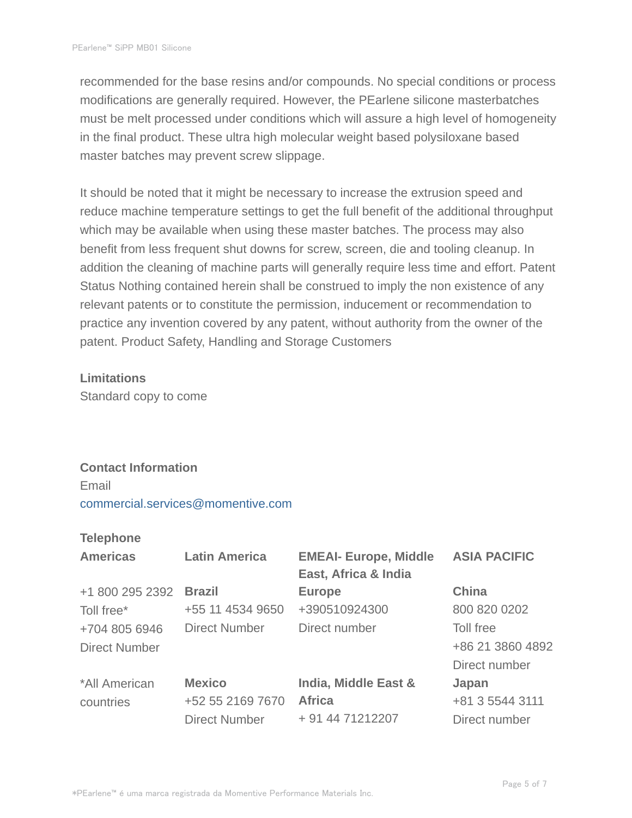recommended for the base resins and/or compounds. No special conditions or process modifications are generally required. However, the PEarlene silicone masterbatches must be melt processed under conditions which will assure a high level of homogeneity in the final product. These ultra high molecular weight based polysiloxane based master batches may prevent screw slippage.

It should be noted that it might be necessary to increase the extrusion speed and reduce machine temperature settings to get the full benefit of the additional throughput which may be available when using these master batches. The process may also benefit from less frequent shut downs for screw, screen, die and tooling cleanup. In addition the cleaning of machine parts will generally require less time and effort. Patent Status Nothing contained herein shall be construed to imply the non existence of any relevant patents or to constitute the permission, inducement or recommendation to practice any invention covered by any patent, without authority from the owner of the patent. Product Safety, Handling and Storage Customers

#### **Limitations**

Standard copy to come

#### **Contact Information**

Email commercial.services@momentive.com

#### **Telephone**

| <b>Americas</b>      | <b>Latin America</b> | <b>EMEAI- Europe, Middle</b><br>East, Africa & India | <b>ASIA PACIFIC</b> |
|----------------------|----------------------|------------------------------------------------------|---------------------|
| +1 800 295 2392      | <b>Brazil</b>        | <b>Europe</b>                                        | China               |
| Toll free*           | +55 11 4534 9650     | +390510924300                                        | 800 820 0202        |
| +704 805 6946        | <b>Direct Number</b> | Direct number                                        | Toll free           |
| <b>Direct Number</b> |                      |                                                      | +86 21 3860 4892    |
|                      |                      |                                                      | Direct number       |
| *All American        | <b>Mexico</b>        | India, Middle East &                                 | Japan               |
| countries            | +52 55 2169 7670     | <b>Africa</b>                                        | +81 3 5544 3111     |
|                      | <b>Direct Number</b> | + 91 44 71212207                                     | Direct number       |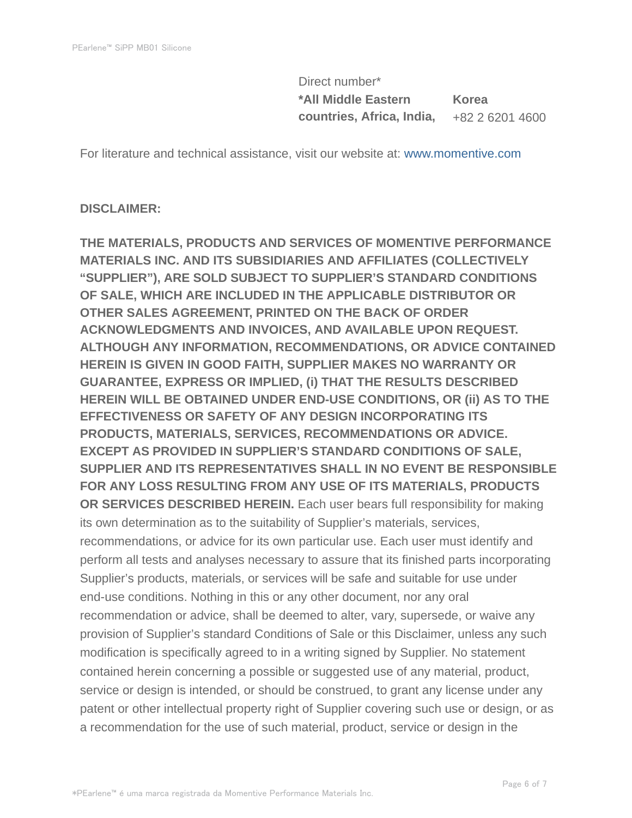Direct number\* **\*All Middle Eastern countries, Africa, India, Korea** +82 2 6201 4600

For literature and technical assistance, visit our website at: www.momentive.com

#### **DISCLAIMER:**

**THE MATERIALS, PRODUCTS AND SERVICES OF MOMENTIVE PERFORMANCE MATERIALS INC. AND ITS SUBSIDIARIES AND AFFILIATES (COLLECTIVELY "SUPPLIER"), ARE SOLD SUBJECT TO SUPPLIER'S STANDARD CONDITIONS OF SALE, WHICH ARE INCLUDED IN THE APPLICABLE DISTRIBUTOR OR OTHER SALES AGREEMENT, PRINTED ON THE BACK OF ORDER ACKNOWLEDGMENTS AND INVOICES, AND AVAILABLE UPON REQUEST. ALTHOUGH ANY INFORMATION, RECOMMENDATIONS, OR ADVICE CONTAINED HEREIN IS GIVEN IN GOOD FAITH, SUPPLIER MAKES NO WARRANTY OR GUARANTEE, EXPRESS OR IMPLIED, (i) THAT THE RESULTS DESCRIBED HEREIN WILL BE OBTAINED UNDER END-USE CONDITIONS, OR (ii) AS TO THE EFFECTIVENESS OR SAFETY OF ANY DESIGN INCORPORATING ITS PRODUCTS, MATERIALS, SERVICES, RECOMMENDATIONS OR ADVICE. EXCEPT AS PROVIDED IN SUPPLIER'S STANDARD CONDITIONS OF SALE, SUPPLIER AND ITS REPRESENTATIVES SHALL IN NO EVENT BE RESPONSIBLE FOR ANY LOSS RESULTING FROM ANY USE OF ITS MATERIALS, PRODUCTS OR SERVICES DESCRIBED HEREIN.** Each user bears full responsibility for making its own determination as to the suitability of Supplier's materials, services, recommendations, or advice for its own particular use. Each user must identify and perform all tests and analyses necessary to assure that its finished parts incorporating Supplier's products, materials, or services will be safe and suitable for use under end-use conditions. Nothing in this or any other document, nor any oral recommendation or advice, shall be deemed to alter, vary, supersede, or waive any provision of Supplier's standard Conditions of Sale or this Disclaimer, unless any such modification is specifically agreed to in a writing signed by Supplier. No statement contained herein concerning a possible or suggested use of any material, product, service or design is intended, or should be construed, to grant any license under any patent or other intellectual property right of Supplier covering such use or design, or as a recommendation for the use of such material, product, service or design in the